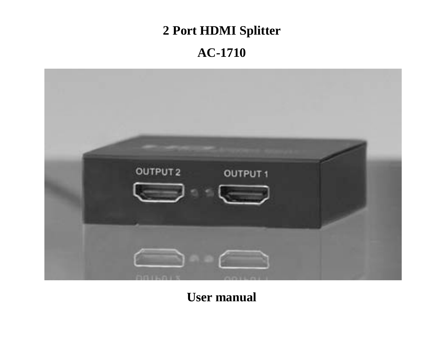# **2 Port HDMI Splitter**

# **AC-1710**



**User manual**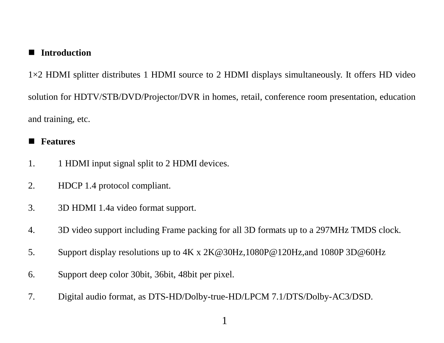### **Introduction**

1×2 HDMI splitter distributes 1 HDMI source to 2 HDMI displays simultaneously. It offers HD video solution for HDTV/STB/DVD/Projector/DVR in homes, retail, conference room presentation, education and training, etc.

#### **Features**

- 1. 1 HDMI input signal split to 2 HDMI devices.
- 2. HDCP 1.4 protocol compliant.
- 3. 3D HDMI 1.4a video format support.
- 4. 3D video support including Frame packing for all 3D formats up to a 297MHz TMDS clock.
- 5. Support display resolutions up to 4K x 2K@30Hz,1080P@120Hz,and 1080P 3D@60Hz
- 6. Support deep color 30bit, 36bit, 48bit per pixel.
- 7. Digital audio format, as DTS-HD/Dolby-true-HD/LPCM 7.1/DTS/Dolby-AC3/DSD.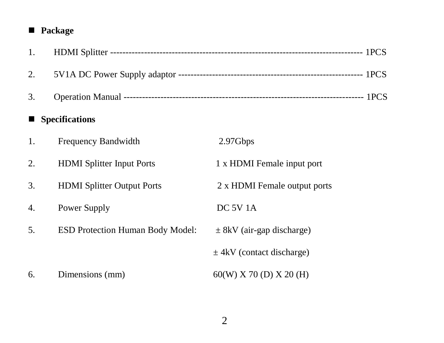# **Package**

| 1.               |                                         |                               |
|------------------|-----------------------------------------|-------------------------------|
| 2.               |                                         |                               |
| 3.               |                                         |                               |
| ■ Specifications |                                         |                               |
| 1.               | Frequency Bandwidth                     | 2.97Gbps                      |
| 2.               | <b>HDMI</b> Splitter Input Ports        | 1 x HDMI Female input port    |
| 3.               | <b>HDMI</b> Splitter Output Ports       | 2 x HDMI Female output ports  |
| 4.               | Power Supply                            | DC 5V 1A                      |
| 5.               | <b>ESD Protection Human Body Model:</b> | $\pm$ 8kV (air-gap discharge) |
|                  |                                         | $\pm$ 4kV (contact discharge) |
| 6.               | Dimensions (mm)                         | 60(W) X 70 (D) X 20 (H)       |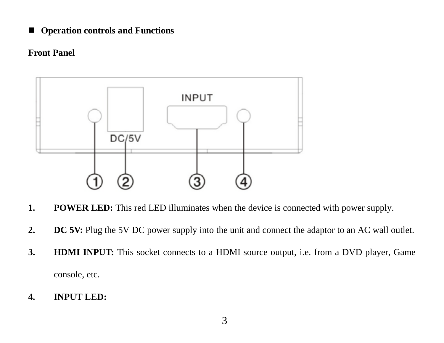■ Operation controls and Functions

#### **Front Panel**



- **1. POWER LED:** This red LED illuminates when the device is connected with power supply.
- **2. DC 5V:** Plug the 5V DC power supply into the unit and connect the adaptor to an AC wall outlet.
- **3. HDMI INPUT:** This socket connects to a HDMI source output, i.e. from a DVD player, Game console, etc.
- **4. INPUT LED:**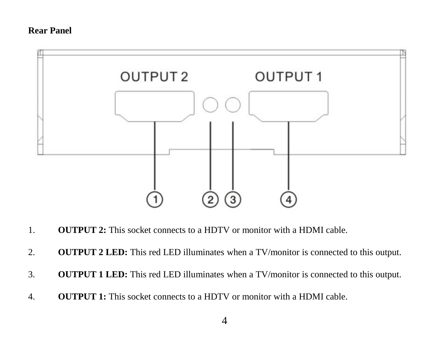#### **Rear Panel**



- 1. **OUTPUT 2:** This socket connects to a HDTV or monitor with a HDMI cable.
- 2. **OUTPUT 2 LED:** This red LED illuminates when a TV/monitor is connected to this output.
- 3. **OUTPUT 1 LED:** This red LED illuminates when a TV/monitor is connected to this output.
- 4. **OUTPUT 1:** This socket connects to a HDTV or monitor with a HDMI cable.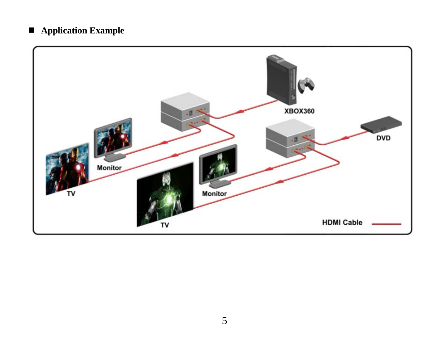## **Application Example**